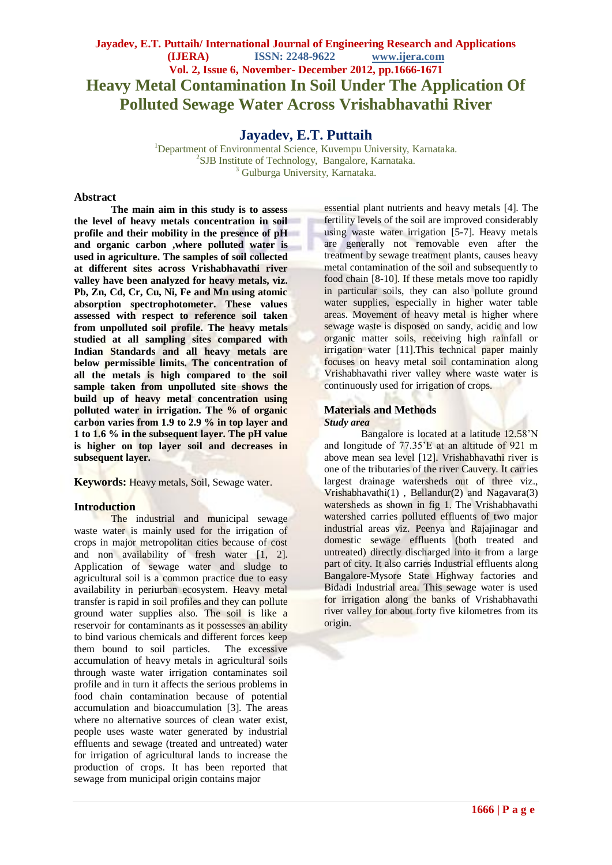## **Jayadev, E.T. Puttaih/ International Journal of Engineering Research and Applications (IJERA) ISSN: 2248-9622 www.ijera.com Vol. 2, Issue 6, November- December 2012, pp.1666-1671 Heavy Metal Contamination In Soil Under The Application Of Polluted Sewage Water Across Vrishabhavathi River**

## **Jayadev, E.T. Puttaih**

<sup>1</sup>Department of Environmental Science, Kuvempu University, Karnataka. 2 SJB Institute of Technology, Bangalore, Karnataka. <sup>3</sup> Gulburga University, Karnataka.

#### **Abstract**

**The main aim in this study is to assess the level of heavy metals concentration in soil profile and their mobility in the presence of pH and organic carbon ,where polluted water is used in agriculture. The samples of soil collected at different sites across Vrishabhavathi river valley have been analyzed for heavy metals, viz. Pb, Zn, Cd, Cr, Cu, Ni, Fe and Mn using atomic absorption spectrophotometer. These values assessed with respect to reference soil taken from unpolluted soil profile. The heavy metals studied at all sampling sites compared with Indian Standards and all heavy metals are below permissible limits. The concentration of all the metals is high compared to the soil sample taken from unpolluted site shows the build up of heavy metal concentration using polluted water in irrigation. The % of organic carbon varies from 1.9 to 2.9 % in top layer and 1 to 1.6 % in the subsequent layer. The pH value is higher on top layer soil and decreases in subsequent layer.**

**Keywords:** Heavy metals, Soil, Sewage water.

### **Introduction**

The industrial and municipal sewage waste water is mainly used for the irrigation of crops in major metropolitan cities because of cost and non availability of fresh water [1, 2]. Application of sewage water and sludge to agricultural soil is a common practice due to easy availability in periurban ecosystem. Heavy metal transfer is rapid in soil profiles and they can pollute ground water supplies also. The soil is like a reservoir for contaminants as it possesses an ability to bind various chemicals and different forces keep them bound to soil particles. The excessive accumulation of heavy metals in agricultural soils through waste water irrigation contaminates soil profile and in turn it affects the serious problems in food chain contamination because of potential accumulation and bioaccumulation [3]. The areas where no alternative sources of clean water exist, people uses waste water generated by industrial effluents and sewage (treated and untreated) water for irrigation of agricultural lands to increase the production of crops. It has been reported that sewage from municipal origin contains major

essential plant nutrients and heavy metals [4]. The fertility levels of the soil are improved considerably using waste water irrigation [5-7]. Heavy metals are generally not removable even after the treatment by sewage treatment plants, causes heavy metal contamination of the soil and subsequently to food chain [8-10]. If these metals move too rapidly in particular soils, they can also pollute ground water supplies, especially in higher water table areas. Movement of heavy metal is higher where sewage waste is disposed on sandy, acidic and low organic matter soils, receiving high rainfall or irrigation water [11]. This technical paper mainly focuses on heavy metal soil contamination along Vrishabhavathi river valley where waste water is continuously used for irrigation of crops.

# **Materials and Methods**

#### *Study area*

Bangalore is located at a latitude 12.58'N and longitude of 77.35'E at an altitude of 921 m above mean sea level [12]. Vrishabhavathi river is one of the tributaries of the river Cauvery. It carries largest drainage watersheds out of three viz., Vrishabhavathi $(1)$ , Bellandur $(2)$  and Nagavara $(3)$ watersheds as shown in fig 1. The Vrishabhavathi watershed carries polluted effluents of two major industrial areas viz. Peenya and Rajajinagar and domestic sewage effluents (both treated and untreated) directly discharged into it from a large part of city. It also carries Industrial effluents along Bangalore-Mysore State Highway factories and Bidadi Industrial area. This sewage water is used for irrigation along the banks of Vrishabhavathi river valley for about forty five kilometres from its origin.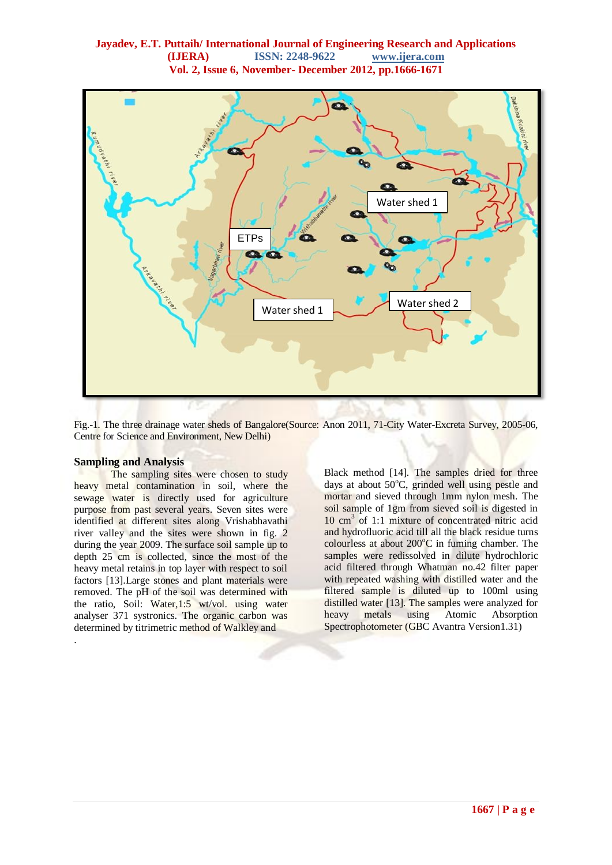### **Jayadev, E.T. Puttaih/ International Journal of Engineering Research and Applications (IJERA) ISSN: 2248-9622 www.ijera.com Vol. 2, Issue 6, November- December 2012, pp.1666-1671**



Fig.-1. The three drainage water sheds of Bangalore(Source: Anon 2011, 71-City Water-Excreta Survey, 2005-06, Centre for Science and Environment, New Delhi)

#### **Sampling and Analysis**

.

The sampling sites were chosen to study heavy metal contamination in soil, where the sewage water is directly used for agriculture purpose from past several years. Seven sites were identified at different sites along Vrishabhavathi river valley and the sites were shown in fig. 2 during the year 2009. The surface soil sample up to depth 25 cm is collected, since the most of the heavy metal retains in top layer with respect to soil factors [13].Large stones and plant materials were removed. The pH of the soil was determined with the ratio, Soil: Water,1:5 wt/vol. using water analyser 371 systronics. The organic carbon was determined by titrimetric method of Walkley and

Black method [14]. The samples dried for three days at about  $50^{\circ}$ C, grinded well using pestle and mortar and sieved through 1mm nylon mesh. The soil sample of 1gm from sieved soil is digested in 10 cm<sup>3</sup> of 1:1 mixture of concentrated nitric acid and hydrofluoric acid till all the black residue turns colourless at about  $200^{\circ}$ C in fuming chamber. The samples were redissolved in dilute hydrochloric acid filtered through Whatman no.42 filter paper with repeated washing with distilled water and the filtered sample is diluted up to 100ml using distilled water [13]. The samples were analyzed for heavy metals using Atomic Absorption Spectrophotometer (GBC Avantra Version1.31)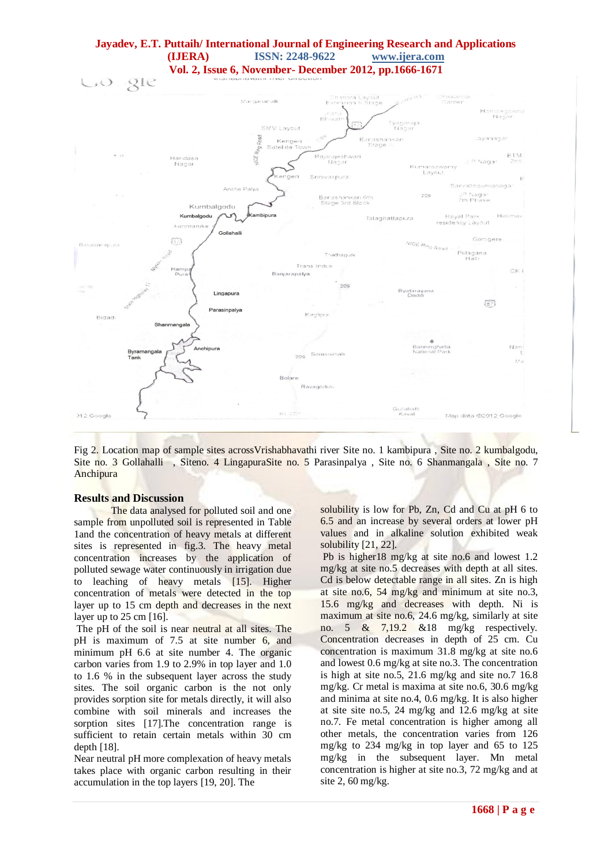### **Jayadev, E.T. Puttaih/ International Journal of Engineering Research and Applications (IJERA) ISSN: 2248-9622 www.ijera.com Vol. 2, Issue 6, November- December 2012, pp.1666-1671**



Fig 2. Location map of sample sites acrossVrishabhavathi river Site no. 1 kambipura , Site no. 2 kumbalgodu, Site no. 3 Gollahalli , Siteno. 4 LingapuraSite no. 5 Parasinpalya , Site no. 6 Shanmangala , Site no. 7 Anchipura

#### **Results and Discussion**

The data analysed for polluted soil and one sample from unpolluted soil is represented in Table 1and the concentration of heavy metals at different sites is represented in fig.3. The heavy metal concentration increases by the application of polluted sewage water continuously in irrigation due to leaching of heavy metals [15]. Higher concentration of metals were detected in the top layer up to 15 cm depth and decreases in the next layer up to 25 cm [16].

The pH of the soil is near neutral at all sites. The pH is maximum of 7.5 at site number 6, and minimum pH 6.6 at site number 4. The organic carbon varies from 1.9 to 2.9% in top layer and 1.0 to 1.6 % in the subsequent layer across the study sites. The soil organic carbon is the not only provides sorption site for metals directly, it will also combine with soil minerals and increases the sorption sites [17]. The concentration range is sufficient to retain certain metals within 30 cm depth [18].

Near neutral pH more complexation of heavy metals takes place with organic carbon resulting in their accumulation in the top layers [19, 20]. The

solubility is low for Pb, Zn, Cd and Cu at pH 6 to 6.5 and an increase by several orders at lower pH values and in alkaline solution exhibited weak solubility [21, 22].

Pb is higher18 mg/kg at site no.6 and lowest 1.2 mg/kg at site no.5 decreases with depth at all sites. Cd is below detectable range in all sites. Zn is high at site no.6, 54 mg/kg and minimum at site no.3, 15.6 mg/kg and decreases with depth. Ni is maximum at site no.6, 24.6 mg/kg, similarly at site no. 5 & 7,19.2 &18 mg/kg respectively. Concentration decreases in depth of 25 cm. Cu concentration is maximum 31.8 mg/kg at site no.6 and lowest 0.6 mg/kg at site no.3. The concentration is high at site no.5, 21.6 mg/kg and site no.7 16.8 mg/kg. Cr metal is maxima at site no.6, 30.6 mg/kg and minima at site no.4, 0.6 mg/kg. It is also higher at site site no.5, 24 mg/kg and 12.6 mg/kg at site no.7. Fe metal concentration is higher among all other metals, the concentration varies from 126 mg/kg to 234 mg/kg in top layer and 65 to 125 mg/kg in the subsequent layer. Mn metal concentration is higher at site no.3, 72 mg/kg and at site 2, 60 mg/kg.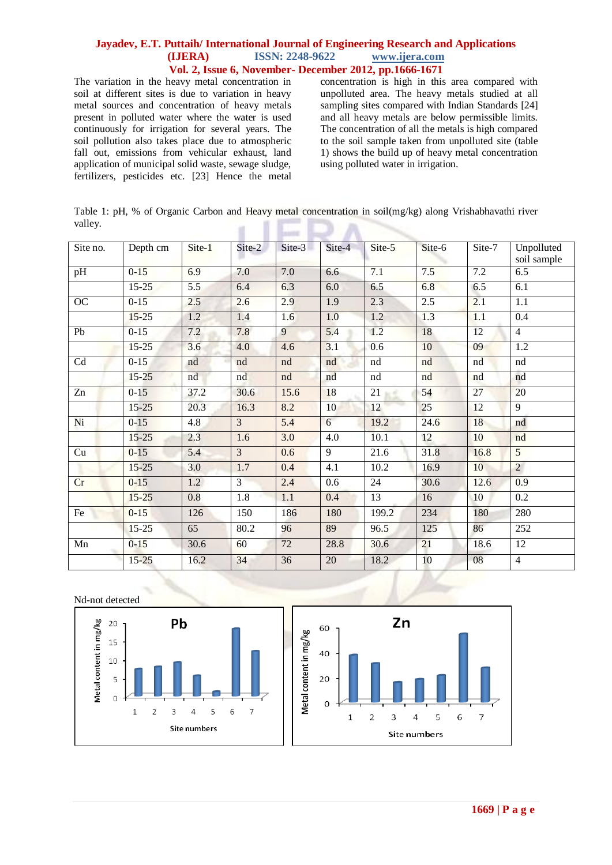### **Jayadev, E.T. Puttaih/ International Journal of Engineering Research and Applications (IJERA) ISSN: 2248-9622 www.ijera.com Vol. 2, Issue 6, November- December 2012, pp.1666-1671**

The variation in the heavy metal concentration in soil at different sites is due to variation in heavy metal sources and concentration of heavy metals present in polluted water where the water is used continuously for irrigation for several years. The soil pollution also takes place due to atmospheric fall out, emissions from vehicular exhaust, land application of municipal solid waste, sewage sludge, fertilizers, pesticides etc. [23] Hence the metal concentration is high in this area compared with unpolluted area. The heavy metals studied at all sampling sites compared with Indian Standards [24] and all heavy metals are below permissible limits. The concentration of all the metals is high compared to the soil sample taken from unpolluted site (table 1) shows the build up of heavy metal concentration using polluted water in irrigation.

Table 1: pH, % of Organic Carbon and Heavy metal concentration in soil(mg/kg) along Vrishabhavathi river valley. ٠ v.  $\overline{\phantom{a}}$ m

| Site no.        | Depth cm  | $Site-1$ | Site-2         | Site-3 | Site-4 | Site-5 | Site-6 | Site-7          | Unpolluted<br>soil sample |
|-----------------|-----------|----------|----------------|--------|--------|--------|--------|-----------------|---------------------------|
| pH              | $0 - 15$  | 6.9      | 7.0            | 7.0    | 6.6    | 7.1    | 7.5    | 7.2             | 6.5                       |
|                 | $15 - 25$ | 5.5      | 6.4            | 6.3    | 6.0    | 6.5    | 6.8    | 6.5             | 6.1                       |
| OC              | $0 - 15$  | 2.5      | 2.6            | 2.9    | 1.9    | 2.3    | 2.5    | 2.1             | 1.1                       |
|                 | $15 - 25$ | 1.2      | 1.4            | 1.6    | 1.0    | 1.2    | 1.3    | 1.1             | 0.4                       |
| Pb              | $0 - 15$  | 7.2      | 7.8            | 9      | 5.4    | 1.2    | 18     | $\overline{12}$ | $\overline{4}$            |
|                 | $15 - 25$ | 3.6      | 4.0            | 4.6    | 3.1    | 0.6    | 10     | 09              | 1.2                       |
| Cd              | $0 - 15$  | nd       | nd             | nd     | nd     | nd     | nd     | nd              | nd                        |
|                 | $15 - 25$ | nd       | nd             | nd     | nd     | nd     | nd     | nd              | nd                        |
| $\overline{Zn}$ | $0-15$    | 37.2     | 30.6           | 15.6   | 18     | 21     | 54     | $\overline{27}$ | 20                        |
|                 | $15 - 25$ | 20.3     | 16.3           | 8.2    | 10     | 12     | 25     | 12              | 9                         |
| Ni              | $0 - 15$  | 4.8      | $\overline{3}$ | 5.4    | 6      | 19.2   | 24.6   | 18              | nd                        |
|                 | $15 - 25$ | 2.3      | 1.6            | 3.0    | 4.0    | 10.1   | 12     | 10              | nd                        |
| Cu              | $0 - 15$  | 5.4      | $\overline{3}$ | 0.6    | 9      | 21.6   | 31.8   | 16.8            | 5                         |
|                 | $15 - 25$ | 3.0      | 1.7            | 0.4    | 4.1    | 10.2   | 16.9   | 10              | $\overline{2}$            |
| Cr              | $0 - 15$  | 1.2      | $\overline{3}$ | 2.4    | 0.6    | 24     | 30.6   | 12.6            | 0.9                       |
|                 | $15 - 25$ | 0.8      | 1.8            | 1.1    | 0.4    | 13     | 16     | 10              | 0.2                       |
| Fe              | $0 - 15$  | 126      | 150            | 186    | 180    | 199.2  | 234    | 180             | 280                       |
|                 | $15 - 25$ | 65       | 80.2           | 96     | 89     | 96.5   | 125    | 86              | 252                       |
| Mn              | $0 - 15$  | 30.6     | 60             | 72     | 28.8   | 30.6   | 21     | 18.6            | 12                        |
|                 | $15 - 25$ | 16.2     | 34             | 36     | 20     | 18.2   | 10     | 08              | $\overline{4}$            |

Nd-not detected



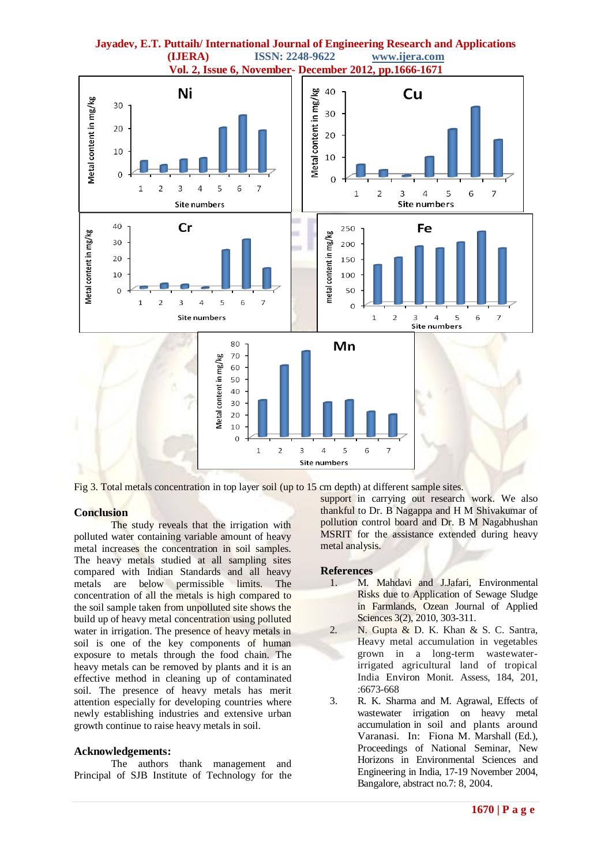

Fig 3. Total metals concentration in top layer soil (up to 15 cm depth) at different sample sites.

#### **Conclusion**

The study reveals that the irrigation with polluted water containing variable amount of heavy metal increases the concentration in soil samples. The heavy metals studied at all sampling sites compared with Indian Standards and all heavy metals are below permissible limits. The concentration of all the metals is high compared to the soil sample taken from unpolluted site shows the build up of heavy metal concentration using polluted water in irrigation. The presence of heavy metals in soil is one of the key components of human exposure to metals through the food chain. The heavy metals can be removed by plants and it is an effective method in cleaning up of contaminated soil. The presence of heavy metals has merit attention especially for developing countries where newly establishing industries and extensive urban growth continue to raise heavy metals in soil.

#### **Acknowledgements:**

The authors thank management and Principal of SJB Institute of Technology for the support in carrying out research work. We also thankful to Dr. B Nagappa and H M Shivakumar of pollution control board and Dr. B M Nagabhushan MSRIT for the assistance extended during heavy metal analysis.

#### **References**

- 1. M. Mahdavi and J.Jafari, Environmental Risks due to Application of Sewage Sludge in Farmlands, Ozean Journal of Applied Sciences 3(2), 2010, 303-311.
- 2. N. Gupta & D. K. Khan & S. C. Santra, Heavy metal accumulation in vegetables grown in a long-term wastewaterirrigated agricultural land of tropical India Environ Monit. Assess, 184, 201, :6673-668
- 3. R. K. Sharma and M. Agrawal, Effects of wastewater irrigation on heavy metal accumulation in soil and plants around Varanasi. In: Fiona M. Marshall (Ed.), Proceedings of National Seminar, New Horizons in Environmental Sciences and Engineering in India, 17-19 November 2004, Bangalore, abstract no.7: 8, 2004.